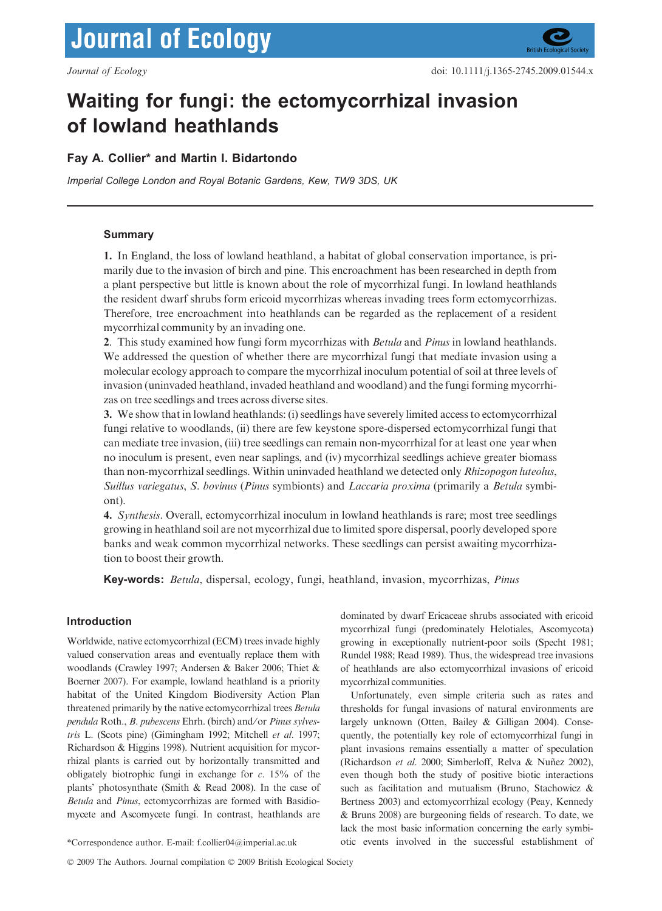# **Journal of Ecology**

## Waiting for fungi: the ectomycorrhizal invasion of lowland heathlands

### Fay A. Collier\* and Martin I. Bidartondo

Imperial College London and Royal Botanic Gardens, Kew, TW9 3DS, UK

#### **Summary**

1. In England, the loss of lowland heathland, a habitat of global conservation importance, is primarily due to the invasion of birch and pine. This encroachment has been researched in depth from a plant perspective but little is known about the role of mycorrhizal fungi. In lowland heathlands the resident dwarf shrubs form ericoid mycorrhizas whereas invading trees form ectomycorrhizas. Therefore, tree encroachment into heathlands can be regarded as the replacement of a resident mycorrhizal community by an invading one.

2. This study examined how fungi form mycorrhizas with *Betula* and *Pinus* in lowland heathlands. We addressed the question of whether there are mycorrhizal fungi that mediate invasion using a molecular ecology approach to compare the mycorrhizal inoculum potential of soil at three levels of invasion (uninvaded heathland, invaded heathland and woodland) and the fungi forming mycorrhizas on tree seedlings and trees across diverse sites.

3. We show that in lowland heathlands: (i) seedlings have severely limited access to ectomycorrhizal fungi relative to woodlands, (ii) there are few keystone spore-dispersed ectomycorrhizal fungi that can mediate tree invasion, (iii) tree seedlings can remain non-mycorrhizal for at least one year when no inoculum is present, even near saplings, and (iv) mycorrhizal seedlings achieve greater biomass than non-mycorrhizal seedlings. Within uninvaded heathland we detected only Rhizopogon luteolus, Suillus variegatus, S. bovinus (Pinus symbionts) and Laccaria proxima (primarily a Betula symbiont).

4. Synthesis. Overall, ectomycorrhizal inoculum in lowland heathlands is rare; most tree seedlings growing in heathland soil are not mycorrhizal due to limited spore dispersal, poorly developed spore banks and weak common mycorrhizal networks. These seedlings can persist awaiting mycorrhization to boost their growth.

Key-words: Betula, dispersal, ecology, fungi, heathland, invasion, mycorrhizas, Pinus

#### Introduction

Worldwide, native ectomycorrhizal (ECM) trees invade highly valued conservation areas and eventually replace them with woodlands (Crawley 1997; Andersen & Baker 2006; Thiet & Boerner 2007). For example, lowland heathland is a priority habitat of the United Kingdom Biodiversity Action Plan threatened primarily by the native ectomycorrhizal trees Betula pendula Roth., B. pubescens Ehrh. (birch) and⁄ or Pinus sylvestris L. (Scots pine) (Gimingham 1992; Mitchell et al. 1997; Richardson & Higgins 1998). Nutrient acquisition for mycorrhizal plants is carried out by horizontally transmitted and obligately biotrophic fungi in exchange for  $c$ . 15% of the plants' photosynthate (Smith & Read 2008). In the case of Betula and Pinus, ectomycorrhizas are formed with Basidiomycete and Ascomycete fungi. In contrast, heathlands are

dominated by dwarf Ericaceae shrubs associated with ericoid mycorrhizal fungi (predominately Helotiales, Ascomycota) growing in exceptionally nutrient-poor soils (Specht 1981; Rundel 1988; Read 1989). Thus, the widespread tree invasions of heathlands are also ectomycorrhizal invasions of ericoid mycorrhizal communities.

Unfortunately, even simple criteria such as rates and thresholds for fungal invasions of natural environments are largely unknown (Otten, Bailey & Gilligan 2004). Consequently, the potentially key role of ectomycorrhizal fungi in plant invasions remains essentially a matter of speculation (Richardson et al. 2000; Simberloff, Relva & Nuñez 2002), even though both the study of positive biotic interactions such as facilitation and mutualism (Bruno, Stachowicz & Bertness 2003) and ectomycorrhizal ecology (Peay, Kennedy & Bruns 2008) are burgeoning fields of research. To date, we lack the most basic information concerning the early symbi- \*Correspondence author. E-mail: f.collier04@imperial.ac.uk otic events involved in the successful establishment of

© 2009 The Authors. Journal compilation © 2009 British Ecological Society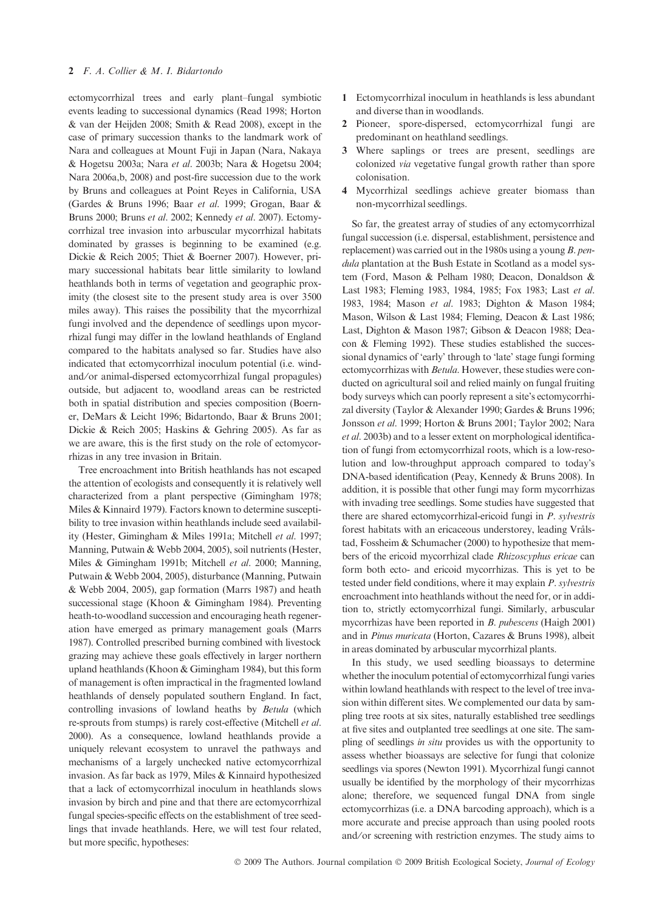ectomycorrhizal trees and early plant–fungal symbiotic events leading to successional dynamics (Read 1998; Horton & van der Heijden 2008; Smith & Read 2008), except in the case of primary succession thanks to the landmark work of Nara and colleagues at Mount Fuji in Japan (Nara, Nakaya & Hogetsu 2003a; Nara et al. 2003b; Nara & Hogetsu 2004; Nara 2006a,b, 2008) and post-fire succession due to the work by Bruns and colleagues at Point Reyes in California, USA (Gardes & Bruns 1996; Baar et al. 1999; Grogan, Baar & Bruns 2000; Bruns et al. 2002; Kennedy et al. 2007). Ectomycorrhizal tree invasion into arbuscular mycorrhizal habitats dominated by grasses is beginning to be examined (e.g. Dickie & Reich 2005; Thiet & Boerner 2007). However, primary successional habitats bear little similarity to lowland heathlands both in terms of vegetation and geographic proximity (the closest site to the present study area is over 3500 miles away). This raises the possibility that the mycorrhizal fungi involved and the dependence of seedlings upon mycorrhizal fungi may differ in the lowland heathlands of England compared to the habitats analysed so far. Studies have also indicated that ectomycorrhizal inoculum potential (i.e. windand/or animal-dispersed ectomycorrhizal fungal propagules) outside, but adjacent to, woodland areas can be restricted both in spatial distribution and species composition (Boerner, DeMars & Leicht 1996; Bidartondo, Baar & Bruns 2001; Dickie & Reich 2005; Haskins & Gehring 2005). As far as we are aware, this is the first study on the role of ectomycorrhizas in any tree invasion in Britain.

Tree encroachment into British heathlands has not escaped the attention of ecologists and consequently it is relatively well characterized from a plant perspective (Gimingham 1978; Miles & Kinnaird 1979). Factors known to determine susceptibility to tree invasion within heathlands include seed availability (Hester, Gimingham & Miles 1991a; Mitchell et al. 1997; Manning, Putwain & Webb 2004, 2005), soil nutrients (Hester, Miles & Gimingham 1991b; Mitchell et al. 2000; Manning, Putwain & Webb 2004, 2005), disturbance (Manning, Putwain & Webb 2004, 2005), gap formation (Marrs 1987) and heath successional stage (Khoon & Gimingham 1984). Preventing heath-to-woodland succession and encouraging heath regeneration have emerged as primary management goals (Marrs 1987). Controlled prescribed burning combined with livestock grazing may achieve these goals effectively in larger northern upland heathlands (Khoon & Gimingham 1984), but this form of management is often impractical in the fragmented lowland heathlands of densely populated southern England. In fact, controlling invasions of lowland heaths by Betula (which re-sprouts from stumps) is rarely cost-effective (Mitchell et al. 2000). As a consequence, lowland heathlands provide a uniquely relevant ecosystem to unravel the pathways and mechanisms of a largely unchecked native ectomycorrhizal invasion. As far back as 1979, Miles & Kinnaird hypothesized that a lack of ectomycorrhizal inoculum in heathlands slows invasion by birch and pine and that there are ectomycorrhizal fungal species-specific effects on the establishment of tree seedlings that invade heathlands. Here, we will test four related, but more specific, hypotheses:

- 1 Ectomycorrhizal inoculum in heathlands is less abundant and diverse than in woodlands.
- 2 Pioneer, spore-dispersed, ectomycorrhizal fungi are predominant on heathland seedlings.
- 3 Where saplings or trees are present, seedlings are colonized via vegetative fungal growth rather than spore colonisation.
- 4 Mycorrhizal seedlings achieve greater biomass than non-mycorrhizal seedlings.

So far, the greatest array of studies of any ectomycorrhizal fungal succession (i.e. dispersal, establishment, persistence and replacement) was carried out in the 1980s using a young B. pendula plantation at the Bush Estate in Scotland as a model system (Ford, Mason & Pelham 1980; Deacon, Donaldson & Last 1983; Fleming 1983, 1984, 1985; Fox 1983; Last et al. 1983, 1984; Mason et al. 1983; Dighton & Mason 1984; Mason, Wilson & Last 1984; Fleming, Deacon & Last 1986; Last, Dighton & Mason 1987; Gibson & Deacon 1988; Deacon & Fleming 1992). These studies established the successional dynamics of 'early' through to 'late' stage fungi forming ectomycorrhizas with Betula. However, these studies were conducted on agricultural soil and relied mainly on fungal fruiting body surveys which can poorly represent a site's ectomycorrhizal diversity (Taylor & Alexander 1990; Gardes & Bruns 1996; Jonsson et al. 1999; Horton & Bruns 2001; Taylor 2002; Nara et al. 2003b) and to a lesser extent on morphological identification of fungi from ectomycorrhizal roots, which is a low-resolution and low-throughput approach compared to today's DNA-based identification (Peay, Kennedy & Bruns 2008). In addition, it is possible that other fungi may form mycorrhizas with invading tree seedlings. Some studies have suggested that there are shared ectomycorrhizal-ericoid fungi in P. sylvestris forest habitats with an ericaceous understorey, leading Vrålstad, Fossheim & Schumacher (2000) to hypothesize that members of the ericoid mycorrhizal clade Rhizoscyphus ericae can form both ecto- and ericoid mycorrhizas. This is yet to be tested under field conditions, where it may explain P. sylvestris encroachment into heathlands without the need for, or in addition to, strictly ectomycorrhizal fungi. Similarly, arbuscular mycorrhizas have been reported in B. pubescens (Haigh 2001) and in Pinus muricata (Horton, Cazares & Bruns 1998), albeit in areas dominated by arbuscular mycorrhizal plants.

In this study, we used seedling bioassays to determine whether the inoculum potential of ectomycorrhizal fungi varies within lowland heathlands with respect to the level of tree invasion within different sites. We complemented our data by sampling tree roots at six sites, naturally established tree seedlings at five sites and outplanted tree seedlings at one site. The sampling of seedlings in situ provides us with the opportunity to assess whether bioassays are selective for fungi that colonize seedlings via spores (Newton 1991). Mycorrhizal fungi cannot usually be identified by the morphology of their mycorrhizas alone; therefore, we sequenced fungal DNA from single ectomycorrhizas (i.e. a DNA barcoding approach), which is a more accurate and precise approach than using pooled roots and⁄ or screening with restriction enzymes. The study aims to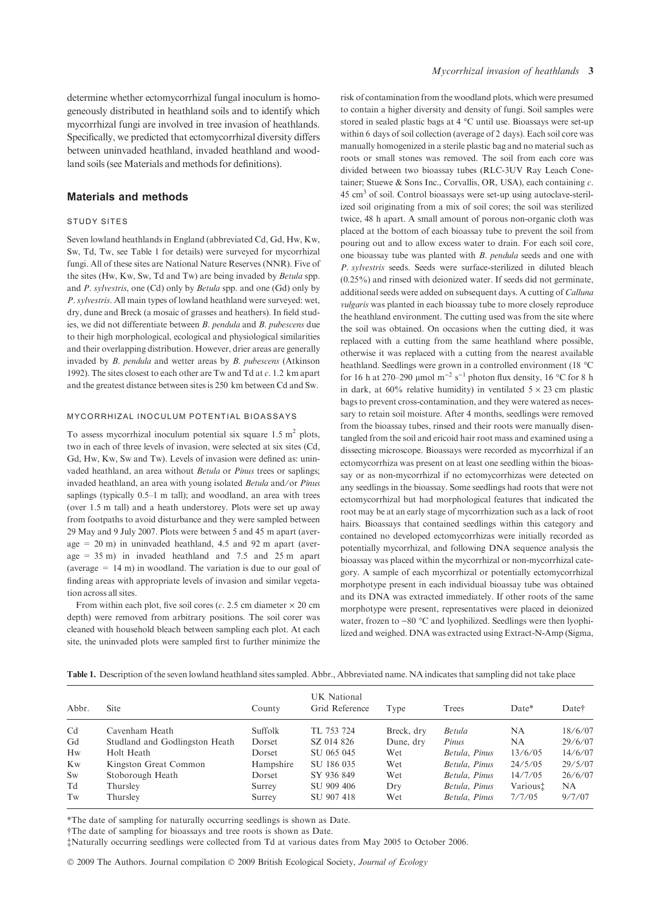determine whether ectomycorrhizal fungal inoculum is homogeneously distributed in heathland soils and to identify which mycorrhizal fungi are involved in tree invasion of heathlands. Specifically, we predicted that ectomycorrhizal diversity differs between uninvaded heathland, invaded heathland and woodland soils (see Materials and methods for definitions).

#### Materials and methods

#### STUDY SITES

Seven lowland heathlands in England (abbreviated Cd, Gd, Hw, Kw, Sw, Td, Tw, see Table 1 for details) were surveyed for mycorrhizal fungi. All of these sites are National Nature Reserves (NNR). Five of the sites (Hw, Kw, Sw, Td and Tw) are being invaded by Betula spp. and  $P.$  sylvestris, one (Cd) only by Betula spp. and one (Gd) only by P. sylvestris. All main types of lowland heathland were surveyed: wet, dry, dune and Breck (a mosaic of grasses and heathers). In field studies, we did not differentiate between B. pendula and B. pubescens due to their high morphological, ecological and physiological similarities and their overlapping distribution. However, drier areas are generally invaded by B. pendula and wetter areas by B. pubescens (Atkinson 1992). The sites closest to each other are Tw and Td at c. 1.2 km apart and the greatest distance between sites is 250 km between Cd and Sw.

#### MYCORRHIZAL INOCULUM POTENTIAL BIOASSAYS

To assess mycorrhizal inoculum potential six square  $1.5 \text{ m}^2$  plots, two in each of three levels of invasion, were selected at six sites (Cd, Gd, Hw, Kw, Sw and Tw). Levels of invasion were defined as: uninvaded heathland, an area without Betula or Pinus trees or saplings; invaded heathland, an area with young isolated Betula and/or Pinus saplings (typically 0.5–1 m tall); and woodland, an area with trees (over 1.5 m tall) and a heath understorey. Plots were set up away from footpaths to avoid disturbance and they were sampled between 29 May and 9 July 2007. Plots were between 5 and 45 m apart (average  $= 20$  m) in uninvaded heathland, 4.5 and 92 m apart (average =  $35 \text{ m}$ ) in invaded heathland and  $7.5$  and  $25 \text{ m}$  apart (average  $= 14$  m) in woodland. The variation is due to our goal of finding areas with appropriate levels of invasion and similar vegetation across all sites.

From within each plot, five soil cores (c. 2.5 cm diameter  $\times$  20 cm depth) were removed from arbitrary positions. The soil corer was cleaned with household bleach between sampling each plot. At each site, the uninvaded plots were sampled first to further minimize the

risk of contamination from the woodland plots, which were presumed to contain a higher diversity and density of fungi. Soil samples were stored in sealed plastic bags at 4 °C until use. Bioassays were set-up within 6 days of soil collection (average of 2 days). Each soil core was manually homogenized in a sterile plastic bag and no material such as roots or small stones was removed. The soil from each core was divided between two bioassay tubes (RLC-3UV Ray Leach Conetainer; Stuewe & Sons Inc., Corvallis, OR, USA), each containing c. 45 cm3 of soil. Control bioassays were set-up using autoclave-sterilized soil originating from a mix of soil cores; the soil was sterilized twice, 48 h apart. A small amount of porous non-organic cloth was placed at the bottom of each bioassay tube to prevent the soil from pouring out and to allow excess water to drain. For each soil core, one bioassay tube was planted with B. pendula seeds and one with P. sylvestris seeds. Seeds were surface-sterilized in diluted bleach (0.25%) and rinsed with deionized water. If seeds did not germinate, additional seeds were added on subsequent days. A cutting of Calluna vulgaris was planted in each bioassay tube to more closely reproduce the heathland environment. The cutting used was from the site where the soil was obtained. On occasions when the cutting died, it was replaced with a cutting from the same heathland where possible, otherwise it was replaced with a cutting from the nearest available heathland. Seedlings were grown in a controlled environment (18 °C) for 16 h at 270–290 µmol m<sup>-2</sup> s<sup>-1</sup> photon flux density, 16 °C for 8 h in dark, at 60% relative humidity) in ventilated  $5 \times 23$  cm plastic bags to prevent cross-contamination, and they were watered as necessary to retain soil moisture. After 4 months, seedlings were removed from the bioassay tubes, rinsed and their roots were manually disentangled from the soil and ericoid hair root mass and examined using a dissecting microscope. Bioassays were recorded as mycorrhizal if an ectomycorrhiza was present on at least one seedling within the bioassay or as non-mycorrhizal if no ectomycorrhizas were detected on any seedlings in the bioassay. Some seedlings had roots that were not ectomycorrhizal but had morphological features that indicated the root may be at an early stage of mycorrhization such as a lack of root hairs. Bioassays that contained seedlings within this category and contained no developed ectomycorrhizas were initially recorded as potentially mycorrhizal, and following DNA sequence analysis the bioassay was placed within the mycorrhizal or non-mycorrhizal category. A sample of each mycorrhizal or potentially ectomycorrhizal morphotype present in each individual bioassay tube was obtained and its DNA was extracted immediately. If other roots of the same morphotype were present, representatives were placed in deionized water, frozen to  $-80$  °C and lyophilized. Seedlings were then lyophilized and weighed. DNA was extracted using Extract-N-Amp (Sigma,

Table 1. Description of the seven lowland heathland sites sampled. Abbr., Abbreviated name. NA indicates that sampling did not take place

| Abbr.          | Site                           | County    | UK National<br>Grid Reference | Type       | Trees         | Date*    | Date†   |
|----------------|--------------------------------|-----------|-------------------------------|------------|---------------|----------|---------|
| C <sub>d</sub> | Cavenham Heath                 | Suffolk   | TL 753 724                    | Breck, dry | Betula        | NA       | 18/6/07 |
| Gd             | Studland and Godlingston Heath | Dorset    | SZ 014 826                    | Dune, dry  | Pinus         | NA       | 29/6/07 |
| Hw             | Holt Heath                     | Dorset    | SU 065 045                    | Wet        | Betula, Pinus | 13/6/05  | 14/6/07 |
| <b>Kw</b>      | Kingston Great Common          | Hampshire | SU 186 035                    | Wet        | Betula, Pinus | 24/5/05  | 29/5/07 |
| Sw             | Stoborough Heath               | Dorset    | SY 936 849                    | Wet        | Betula, Pinus | 14/7/05  | 26/6/07 |
| Td             | Thursley                       | Surrey    | SU 909 406                    | Dry        | Betula, Pinus | Varioust | NA.     |
| Tw             | Thursley                       | Surrey    | SU 907 418                    | Wet        | Betula, Pinus | 7/7/05   | 9/7/07  |

\*The date of sampling for naturally occurring seedlings is shown as Date.

†The date of sampling for bioassays and tree roots is shown as Date.

‡Naturally occurring seedlings were collected from Td at various dates from May 2005 to October 2006.

© 2009 The Authors. Journal compilation © 2009 British Ecological Society, Journal of Ecology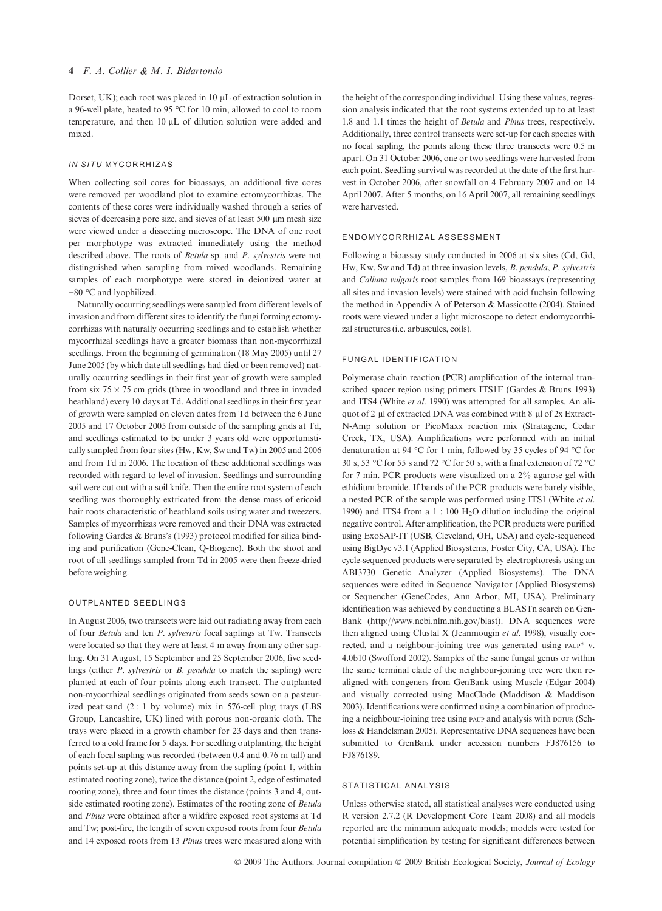Dorset, UK); each root was placed in  $10 \mu L$  of extraction solution in a 96-well plate, heated to 95  $\degree$ C for 10 min, allowed to cool to room temperature, and then 10 µL of dilution solution were added and mixed.

#### IN SITU MYCORRHIZAS

When collecting soil cores for bioassays, an additional five cores were removed per woodland plot to examine ectomycorrhizas. The contents of these cores were individually washed through a series of sieves of decreasing pore size, and sieves of at least 500 um mesh size were viewed under a dissecting microscope. The DNA of one root per morphotype was extracted immediately using the method described above. The roots of Betula sp. and P. sylvestris were not distinguished when sampling from mixed woodlands. Remaining samples of each morphotype were stored in deionized water at  $-80$  °C and lyophilized.

Naturally occurring seedlings were sampled from different levels of invasion and from different sites to identify the fungi forming ectomycorrhizas with naturally occurring seedlings and to establish whether mycorrhizal seedlings have a greater biomass than non-mycorrhizal seedlings. From the beginning of germination (18 May 2005) until 27 June 2005 (by which date all seedlings had died or been removed) naturally occurring seedlings in their first year of growth were sampled from six  $75 \times 75$  cm grids (three in woodland and three in invaded heathland) every 10 days at Td. Additional seedlings in their first year of growth were sampled on eleven dates from Td between the 6 June 2005 and 17 October 2005 from outside of the sampling grids at Td, and seedlings estimated to be under 3 years old were opportunistically sampled from four sites (Hw, Kw, Sw and Tw) in 2005 and 2006 and from Td in 2006. The location of these additional seedlings was recorded with regard to level of invasion. Seedlings and surrounding soil were cut out with a soil knife. Then the entire root system of each seedling was thoroughly extricated from the dense mass of ericoid hair roots characteristic of heathland soils using water and tweezers. Samples of mycorrhizas were removed and their DNA was extracted following Gardes & Bruns's (1993) protocol modified for silica binding and purification (Gene-Clean, Q-Biogene). Both the shoot and root of all seedlings sampled from Td in 2005 were then freeze-dried before weighing.

#### OUTPLANTED SEEDLINGS

In August 2006, two transects were laid out radiating away from each of four Betula and ten P. sylvestris focal saplings at Tw. Transects were located so that they were at least 4 m away from any other sapling. On 31 August, 15 September and 25 September 2006, five seedlings (either P. sylvestris or B. pendula to match the sapling) were planted at each of four points along each transect. The outplanted non-mycorrhizal seedlings originated from seeds sown on a pasteurized peat:sand (2 : 1 by volume) mix in 576-cell plug trays (LBS Group, Lancashire, UK) lined with porous non-organic cloth. The trays were placed in a growth chamber for 23 days and then transferred to a cold frame for 5 days. For seedling outplanting, the height of each focal sapling was recorded (between 0.4 and 0.76 m tall) and points set-up at this distance away from the sapling (point 1, within estimated rooting zone), twice the distance (point 2, edge of estimated rooting zone), three and four times the distance (points 3 and 4, outside estimated rooting zone). Estimates of the rooting zone of Betula and Pinus were obtained after a wildfire exposed root systems at Td and Tw; post-fire, the length of seven exposed roots from four Betula and 14 exposed roots from 13 Pinus trees were measured along with

the height of the corresponding individual. Using these values, regression analysis indicated that the root systems extended up to at least 1.8 and 1.1 times the height of Betula and Pinus trees, respectively. Additionally, three control transects were set-up for each species with no focal sapling, the points along these three transects were 0.5 m apart. On 31 October 2006, one or two seedlings were harvested from each point. Seedling survival was recorded at the date of the first harvest in October 2006, after snowfall on 4 February 2007 and on 14 April 2007. After 5 months, on 16 April 2007, all remaining seedlings were harvested.

#### ENDOMYCORRHIZAL ASSESSMENT

Following a bioassay study conducted in 2006 at six sites (Cd, Gd, Hw, Kw, Sw and Td) at three invasion levels, B. pendula, P. sylvestris and Calluna vulgaris root samples from 169 bioassays (representing all sites and invasion levels) were stained with acid fuchsin following the method in Appendix A of Peterson & Massicotte (2004). Stained roots were viewed under a light microscope to detect endomycorrhizal structures (i.e. arbuscules, coils).

#### FUNGAL IDENTIFICATION

Polymerase chain reaction (PCR) amplification of the internal transcribed spacer region using primers ITS1F (Gardes & Bruns 1993) and ITS4 (White et al. 1990) was attempted for all samples. An aliquot of 2  $\mu$ l of extracted DNA was combined with 8  $\mu$ l of 2x Extract-N-Amp solution or PicoMaxx reaction mix (Stratagene, Cedar Creek, TX, USA). Amplifications were performed with an initial denaturation at 94 °C for 1 min, followed by 35 cycles of 94 °C for 30 s, 53 °C for 55 s and 72 °C for 50 s, with a final extension of 72 °C for 7 min. PCR products were visualized on a 2% agarose gel with ethidium bromide. If bands of the PCR products were barely visible, a nested PCR of the sample was performed using ITS1 (White et al. 1990) and ITS4 from a  $1:100 \text{ H}_2\text{O}$  dilution including the original negative control. After amplification, the PCR products were purified using ExoSAP-IT (USB, Cleveland, OH, USA) and cycle-sequenced using BigDye v3.1 (Applied Biosystems, Foster City, CA, USA). The cycle-sequenced products were separated by electrophoresis using an ABI3730 Genetic Analyzer (Applied Biosystems). The DNA sequences were edited in Sequence Navigator (Applied Biosystems) or Sequencher (GeneCodes, Ann Arbor, MI, USA). Preliminary identification was achieved by conducting a BLASTn search on Gen-Bank (http://www.ncbi.nlm.nih.gov/blast). DNA sequences were then aligned using Clustal X (Jeanmougin et al. 1998), visually corrected, and a neighbour-joining tree was generated using paup\* v. 4.0b10 (Swofford 2002). Samples of the same fungal genus or within the same terminal clade of the neighbour-joining tree were then realigned with congeners from GenBank using Muscle (Edgar 2004) and visually corrected using MacClade (Maddison & Maddison 2003). Identifications were confirmed using a combination of producing a neighbour-joining tree using paup and analysis with porur (Schloss & Handelsman 2005). Representative DNA sequences have been submitted to GenBank under accession numbers FJ876156 to FJ876189.

#### STATISTICAL ANALYSIS

Unless otherwise stated, all statistical analyses were conducted using R version 2.7.2 (R Development Core Team 2008) and all models reported are the minimum adequate models; models were tested for potential simplification by testing for significant differences between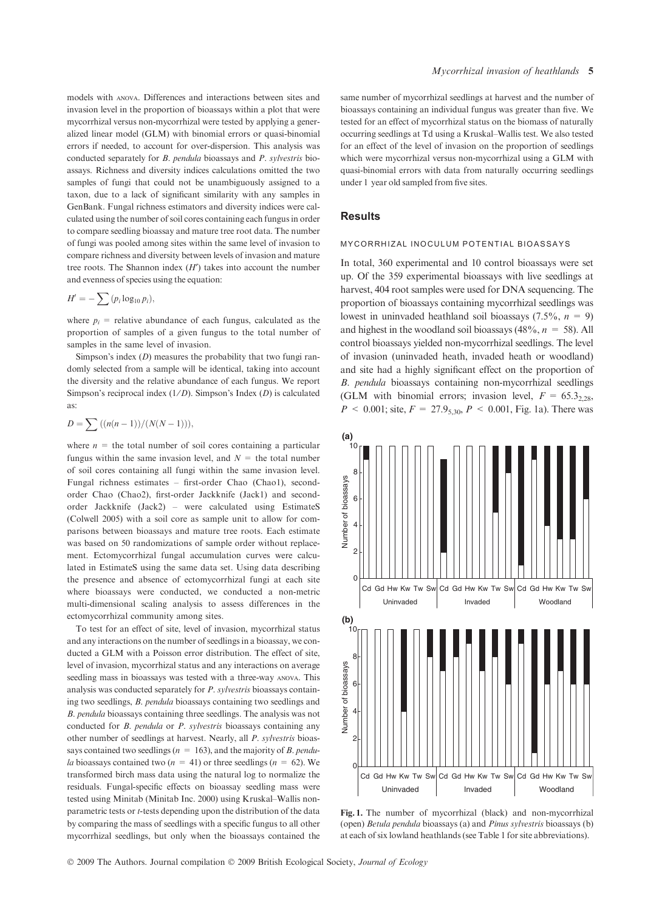models with anova. Differences and interactions between sites and invasion level in the proportion of bioassays within a plot that were mycorrhizal versus non-mycorrhizal were tested by applying a generalized linear model (GLM) with binomial errors or quasi-binomial errors if needed, to account for over-dispersion. This analysis was conducted separately for B. pendula bioassays and P. sylvestris bioassays. Richness and diversity indices calculations omitted the two samples of fungi that could not be unambiguously assigned to a taxon, due to a lack of significant similarity with any samples in GenBank. Fungal richness estimators and diversity indices were calculated using the number of soil cores containing each fungus in order to compare seedling bioassay and mature tree root data. The number of fungi was pooled among sites within the same level of invasion to compare richness and diversity between levels of invasion and mature tree roots. The Shannon index  $(H')$  takes into account the number and evenness of species using the equation:

$$
H' = -\sum (p_i \log_{10} p_i),
$$

where  $p_i$  = relative abundance of each fungus, calculated as the proportion of samples of a given fungus to the total number of samples in the same level of invasion.

Simpson's index  $(D)$  measures the probability that two fungi randomly selected from a sample will be identical, taking into account the diversity and the relative abundance of each fungus. We report Simpson's reciprocal index  $(1/D)$ . Simpson's Index  $(D)$  is calculated as:

$$
D = \sum ((n(n-1))/(N(N-1))),
$$

where  $n =$  the total number of soil cores containing a particular fungus within the same invasion level, and  $N =$  the total number of soil cores containing all fungi within the same invasion level. Fungal richness estimates – first-order Chao (Chao1), secondorder Chao (Chao2), first-order Jackknife (Jack1) and secondorder Jackknife (Jack2) – were calculated using EstimateS (Colwell 2005) with a soil core as sample unit to allow for comparisons between bioassays and mature tree roots. Each estimate was based on 50 randomizations of sample order without replacement. Ectomycorrhizal fungal accumulation curves were calculated in EstimateS using the same data set. Using data describing the presence and absence of ectomycorrhizal fungi at each site where bioassays were conducted, we conducted a non-metric multi-dimensional scaling analysis to assess differences in the ectomycorrhizal community among sites.

To test for an effect of site, level of invasion, mycorrhizal status and any interactions on the number of seedlings in a bioassay, we conducted a GLM with a Poisson error distribution. The effect of site, level of invasion, mycorrhizal status and any interactions on average seedling mass in bioassays was tested with a three-way anova. This analysis was conducted separately for P. sylvestris bioassays containing two seedlings, B. pendula bioassays containing two seedlings and B. pendula bioassays containing three seedlings. The analysis was not conducted for B. pendula or P. sylvestris bioassays containing any other number of seedlings at harvest. Nearly, all P. sylvestris bioassays contained two seedlings ( $n = 163$ ), and the majority of *B. pendula* bioassays contained two  $(n = 41)$  or three seedlings  $(n = 62)$ . We transformed birch mass data using the natural log to normalize the residuals. Fungal-specific effects on bioassay seedling mass were tested using Minitab (Minitab Inc. 2000) using Kruskal–Wallis nonparametric tests or t-tests depending upon the distribution of the data by comparing the mass of seedlings with a specific fungus to all other mycorrhizal seedlings, but only when the bioassays contained the same number of mycorrhizal seedlings at harvest and the number of bioassays containing an individual fungus was greater than five. We tested for an effect of mycorrhizal status on the biomass of naturally occurring seedlings at Td using a Kruskal–Wallis test. We also tested for an effect of the level of invasion on the proportion of seedlings which were mycorrhizal versus non-mycorrhizal using a GLM with quasi-binomial errors with data from naturally occurring seedlings under 1 year old sampled from five sites.

#### **Results**

#### MYCORRHIZAL INOCULUM POTENTIAL BIOASSAYS

In total, 360 experimental and 10 control bioassays were set up. Of the 359 experimental bioassays with live seedlings at harvest, 404 root samples were used for DNA sequencing. The proportion of bioassays containing mycorrhizal seedlings was lowest in uninvaded heathland soil bioassays (7.5%,  $n = 9$ ) and highest in the woodland soil bioassays (48%,  $n = 58$ ). All control bioassays yielded non-mycorrhizal seedlings. The level of invasion (uninvaded heath, invaded heath or woodland) and site had a highly significant effect on the proportion of B. pendula bioassays containing non-mycorrhizal seedlings (GLM with binomial errors; invasion level,  $F = 65.3_{2.28}$ ,  $P < 0.001$ ; site,  $F = 27.9_{5,30}$ ,  $P < 0.001$ , Fig. 1a). There was



Fig. 1. The number of mycorrhizal (black) and non-mycorrhizal (open) Betula pendula bioassays (a) and Pinus sylvestris bioassays (b) at each of six lowland heathlands (see Table 1 for site abbreviations).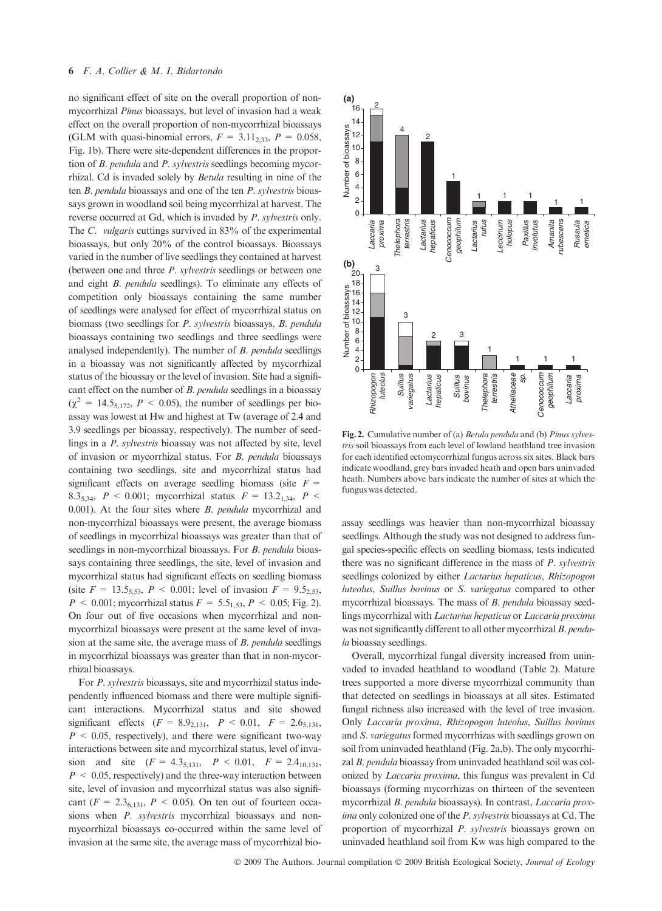no significant effect of site on the overall proportion of nonmycorrhizal Pinus bioassays, but level of invasion had a weak effect on the overall proportion of non-mycorrhizal bioassays (GLM with quasi-binomial errors,  $F = 3.11_{2,33}$ ,  $P = 0.058$ , Fig. 1b). There were site-dependent differences in the proportion of B. pendula and P. sylvestris seedlings becoming mycorrhizal. Cd is invaded solely by Betula resulting in nine of the ten B. pendula bioassays and one of the ten P. sylvestris bioassays grown in woodland soil being mycorrhizal at harvest. The reverse occurred at Gd, which is invaded by P. sylvestris only. The C. vulgaris cuttings survived in 83% of the experimental bioassays, but only 20% of the control bioassays. Bioassays varied in the number of live seedlings they contained at harvest (between one and three P. sylvestris seedlings or between one and eight B. pendula seedlings). To eliminate any effects of competition only bioassays containing the same number of seedlings were analysed for effect of mycorrhizal status on biomass (two seedlings for P. sylvestris bioassays, B. pendula bioassays containing two seedlings and three seedlings were analysed independently). The number of B. pendula seedlings in a bioassay was not significantly affected by mycorrhizal status of the bioassay or the level of invasion. Site had a significant effect on the number of B. pendula seedlings in a bioassay  $(\chi^2 = 14.5_{5,172}, P < 0.05)$ , the number of seedlings per bioassay was lowest at Hw and highest at Tw (average of 2.4 and 3.9 seedlings per bioassay, respectively). The number of seedlings in a P. sylvestris bioassay was not affected by site, level of invasion or mycorrhizal status. For B. pendula bioassays containing two seedlings, site and mycorrhizal status had significant effects on average seedling biomass (site  $F =$ 8.3<sub>5,34</sub>,  $P < 0.001$ ; mycorrhizal status  $F = 13.2_{1.34}$ ,  $P <$ 0.001). At the four sites where *B. pendula* mycorrhizal and non-mycorrhizal bioassays were present, the average biomass of seedlings in mycorrhizal bioassays was greater than that of seedlings in non-mycorrhizal bioassays. For *B. pendula* bioassays containing three seedlings, the site, level of invasion and mycorrhizal status had significant effects on seedling biomass (site  $F = 13.5_{5,53}$ ,  $P < 0.001$ ; level of invasion  $F = 9.5_{2,53}$ ,  $P < 0.001$ ; mycorrhizal status  $F = 5.5_{1.53}$ ,  $P < 0.05$ ; Fig. 2). On four out of five occasions when mycorrhizal and nonmycorrhizal bioassays were present at the same level of invasion at the same site, the average mass of B. pendula seedlings in mycorrhizal bioassays was greater than that in non-mycorrhizal bioassays.

For P. sylvestris bioassays, site and mycorrhizal status independently influenced biomass and there were multiple significant interactions. Mycorrhizal status and site showed significant effects  $(F = 8.9_{2,131}, P < 0.01, F = 2.6_{5,131},$  $P \leq 0.05$ , respectively), and there were significant two-way interactions between site and mycorrhizal status, level of invasion and site  $(F = 4.3_{5,131}, P < 0.01, F = 2.4_{10,131},$  $P < 0.05$ , respectively) and the three-way interaction between site, level of invasion and mycorrhizal status was also significant ( $F = 2.3_{6,131}$ ,  $P < 0.05$ ). On ten out of fourteen occasions when *P. sylvestris* mycorrhizal bioassays and nonmycorrhizal bioassays co-occurred within the same level of invasion at the same site, the average mass of mycorrhizal bio-



Fig. 2. Cumulative number of (a) Betula pendula and (b) Pinus sylvestris soil bioassays from each level of lowland heathland tree invasion for each identified ectomycorrhizal fungus across six sites. Black bars indicate woodland, grey bars invaded heath and open bars uninvaded heath. Numbers above bars indicate the number of sites at which the fungus was detected.

assay seedlings was heavier than non-mycorrhizal bioassay seedlings. Although the study was not designed to address fungal species-specific effects on seedling biomass, tests indicated there was no significant difference in the mass of P. sylvestris seedlings colonized by either *Lactarius hepaticus*, *Rhizopogon* luteolus, Suillus bovinus or S. variegatus compared to other mycorrhizal bioassays. The mass of B. pendula bioassay seedlings mycorrhizal with Lactarius hepaticus or Laccaria proxima was not significantly different to all other mycorrhizal B. pendula bioassay seedlings.

Overall, mycorrhizal fungal diversity increased from uninvaded to invaded heathland to woodland (Table 2). Mature trees supported a more diverse mycorrhizal community than that detected on seedlings in bioassays at all sites. Estimated fungal richness also increased with the level of tree invasion. Only Laccaria proxima, Rhizopogon luteolus, Suillus bovinus and S. variegatus formed mycorrhizas with seedlings grown on soil from uninvaded heathland (Fig. 2a,b). The only mycorrhizal B. pendula bioassay from uninvaded heathland soil was colonized by Laccaria proxima, this fungus was prevalent in Cd bioassays (forming mycorrhizas on thirteen of the seventeen mycorrhizal B. pendula bioassays). In contrast, Laccaria proxima only colonized one of the P. sylvestris bioassays at Cd. The proportion of mycorrhizal P. sylvestris bioassays grown on uninvaded heathland soil from Kw was high compared to the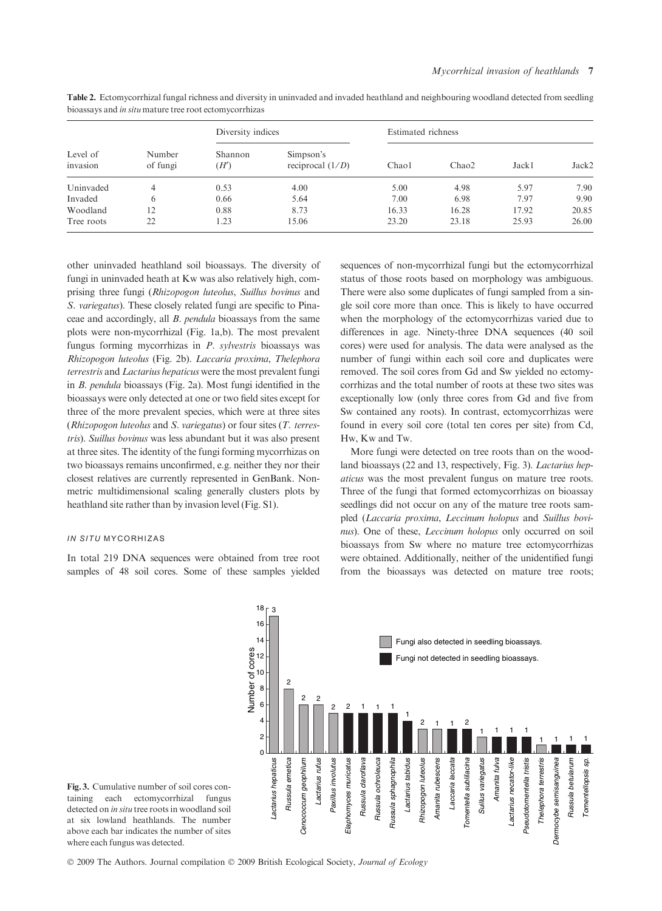|                      | Number<br>of fungi | Diversity indices |                                 | Estimated richness |       |       |       |
|----------------------|--------------------|-------------------|---------------------------------|--------------------|-------|-------|-------|
| Level of<br>invasion |                    | Shannon<br>(H')   | Simpson's<br>reciprocal $(1/D)$ | Chaol              | Chao2 | Jack1 | Jack2 |
| Uninvaded            | 4                  | 0.53              | 4.00                            | 5.00               | 4.98  | 5.97  | 7.90  |
| Invaded              | 6                  | 0.66              | 5.64                            | 7.00               | 6.98  | 7.97  | 9.90  |
| Woodland             | 12                 | 0.88              | 8.73                            | 16.33              | 16.28 | 17.92 | 20.85 |
| Tree roots           | 22                 | 1.23              | 15.06                           | 23.20              | 23.18 | 25.93 | 26.00 |

Table 2. Ectomycorrhizal fungal richness and diversity in uninvaded and invaded heathland and neighbouring woodland detected from seedling bioassays and in situ mature tree root ectomycorrhizas

other uninvaded heathland soil bioassays. The diversity of fungi in uninvaded heath at Kw was also relatively high, comprising three fungi (Rhizopogon luteolus, Suillus bovinus and S. variegatus). These closely related fungi are specific to Pinaceae and accordingly, all B. pendula bioassays from the same plots were non-mycorrhizal (Fig. 1a,b). The most prevalent fungus forming mycorrhizas in P. sylvestris bioassays was Rhizopogon luteolus (Fig. 2b). Laccaria proxima, Thelephora terrestris and Lactarius hepaticus were the most prevalent fungi in B. pendula bioassays (Fig. 2a). Most fungi identified in the bioassays were only detected at one or two field sites except for three of the more prevalent species, which were at three sites (Rhizopogon luteolus and S. variegatus) or four sites (T. terrestris). Suillus bovinus was less abundant but it was also present at three sites. The identity of the fungi forming mycorrhizas on two bioassays remains unconfirmed, e.g. neither they nor their closest relatives are currently represented in GenBank. Nonmetric multidimensional scaling generally clusters plots by heathland site rather than by invasion level (Fig. S1).

#### IN SITU MYCORHIZAS

In total 219 DNA sequences were obtained from tree root samples of 48 soil cores. Some of these samples yielded

sequences of non-mycorrhizal fungi but the ectomycorrhizal status of those roots based on morphology was ambiguous. There were also some duplicates of fungi sampled from a single soil core more than once. This is likely to have occurred when the morphology of the ectomycorrhizas varied due to differences in age. Ninety-three DNA sequences (40 soil cores) were used for analysis. The data were analysed as the number of fungi within each soil core and duplicates were removed. The soil cores from Gd and Sw yielded no ectomycorrhizas and the total number of roots at these two sites was exceptionally low (only three cores from Gd and five from Sw contained any roots). In contrast, ectomycorrhizas were found in every soil core (total ten cores per site) from Cd, Hw, Kw and Tw.

More fungi were detected on tree roots than on the woodland bioassays (22 and 13, respectively, Fig. 3). Lactarius hepaticus was the most prevalent fungus on mature tree roots. Three of the fungi that formed ectomycorrhizas on bioassay seedlings did not occur on any of the mature tree roots sampled (Laccaria proxima, Leccinum holopus and Suillus bovinus). One of these, Leccinum holopus only occurred on soil bioassays from Sw where no mature tree ectomycorrhizas were obtained. Additionally, neither of the unidentified fungi from the bioassays was detected on mature tree roots;



Fig. 3. Cumulative number of soil cores containing each ectomycorrhizal fungus detected on in situ tree roots in woodland soil at six lowland heathlands. The number above each bar indicates the number of sites where each fungus was detected.

© 2009 The Authors. Journal compilation © 2009 British Ecological Society, Journal of Ecology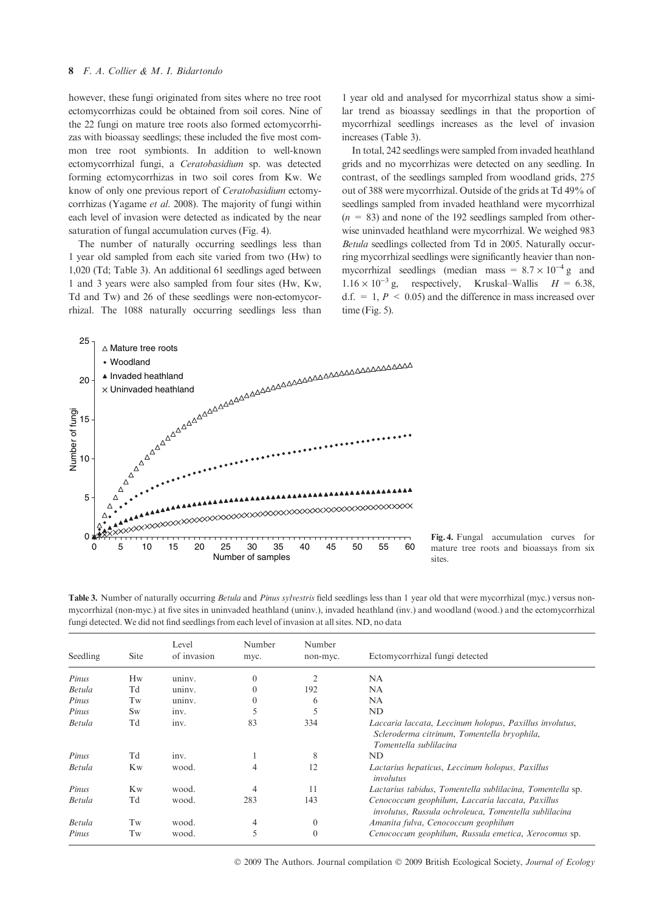however, these fungi originated from sites where no tree root ectomycorrhizas could be obtained from soil cores. Nine of the 22 fungi on mature tree roots also formed ectomycorrhizas with bioassay seedlings; these included the five most common tree root symbionts. In addition to well-known ectomycorrhizal fungi, a Ceratobasidium sp. was detected forming ectomycorrhizas in two soil cores from Kw. We know of only one previous report of Ceratobasidium ectomycorrhizas (Yagame et al. 2008). The majority of fungi within each level of invasion were detected as indicated by the near saturation of fungal accumulation curves (Fig. 4).

The number of naturally occurring seedlings less than 1 year old sampled from each site varied from two (Hw) to 1,020 (Td; Table 3). An additional 61 seedlings aged between 1 and 3 years were also sampled from four sites (Hw, Kw, Td and Tw) and 26 of these seedlings were non-ectomycorrhizal. The 1088 naturally occurring seedlings less than 1 year old and analysed for mycorrhizal status show a similar trend as bioassay seedlings in that the proportion of mycorrhizal seedlings increases as the level of invasion increases (Table 3).

In total, 242 seedlings were sampled from invaded heathland grids and no mycorrhizas were detected on any seedling. In contrast, of the seedlings sampled from woodland grids, 275 out of 388 were mycorrhizal. Outside of the grids at Td 49% of seedlings sampled from invaded heathland were mycorrhizal  $(n = 83)$  and none of the 192 seedlings sampled from otherwise uninvaded heathland were mycorrhizal. We weighed 983 Betula seedlings collected from Td in 2005. Naturally occurring mycorrhizal seedlings were significantly heavier than nonmycorrhizal seedlings (median mass =  $8.7 \times 10^{-4}$  g and  $1.16 \times 10^{-3}$  g, respectively, Kruskal–Wallis  $H = 6.38$ , d.f.  $= 1, P \le 0.05$  and the difference in mass increased over time (Fig. 5).



Fig. 4. Fungal accumulation curves for mature tree roots and bioassays from six sites.

Table 3. Number of naturally occurring Betula and Pinus sylvestris field seedlings less than 1 year old that were mycorrhizal (myc.) versus nonmycorrhizal (non-myc.) at five sites in uninvaded heathland (uninv.), invaded heathland (inv.) and woodland (wood.) and the ectomycorrhizal fungi detected. We did not find seedlings from each level of invasion at all sites. ND, no data

| Seedling      | <b>Site</b>    | Level<br>of invasion | Number<br>myc. | Number<br>non-myc. | Ectomycorrhizal fungi detected                                                                                                   |
|---------------|----------------|----------------------|----------------|--------------------|----------------------------------------------------------------------------------------------------------------------------------|
| Pinus         | Hw             | uninv.               | $\mathbf{0}$   |                    | <b>NA</b>                                                                                                                        |
| <b>Betula</b> | Td             | uninv.               | $\mathbf{0}$   | 192                | NA                                                                                                                               |
| Pinus         | Tw             | uniny.               | $\mathbf{0}$   | 6                  | NA                                                                                                                               |
| Pinus         | <b>Sw</b>      | inv.                 | 5              |                    | ND                                                                                                                               |
| <b>Betula</b> | Td             | inv.                 | 83             | 334                | Laccaria laccata, Leccinum holopus, Paxillus involutus,<br>Scleroderma citrinum, Tomentella bryophila,<br>Tomentella sublilacina |
| Pinus         | Td             | inv.                 |                | 8                  | ND                                                                                                                               |
| Betula        | Kw             | wood.                | 4              | 12                 | Lactarius hepaticus, Leccinum holopus, Paxillus<br>involutus                                                                     |
| Pinus         | K <sub>w</sub> | wood.                | 4              | 11                 | Lactarius tabidus, Tomentella sublilacina, Tomentella sp.                                                                        |
| Betula        | Td             | wood.                | 283            | 143                | Cenococcum geophilum, Laccaria laccata, Paxillus<br>involutus, Russula ochroleuca, Tomentella sublilacina                        |
| <b>Betula</b> | Tw             | wood.                | $\overline{4}$ | $\theta$           | Amanita fulva, Cenococcum geophilum                                                                                              |
| Pinus         | Tw             | wood.                | 5              | $\mathbf{0}$       | Cenococcum geophilum, Russula emetica, Xerocomus sp.                                                                             |

© 2009 The Authors. Journal compilation © 2009 British Ecological Society, Journal of Ecology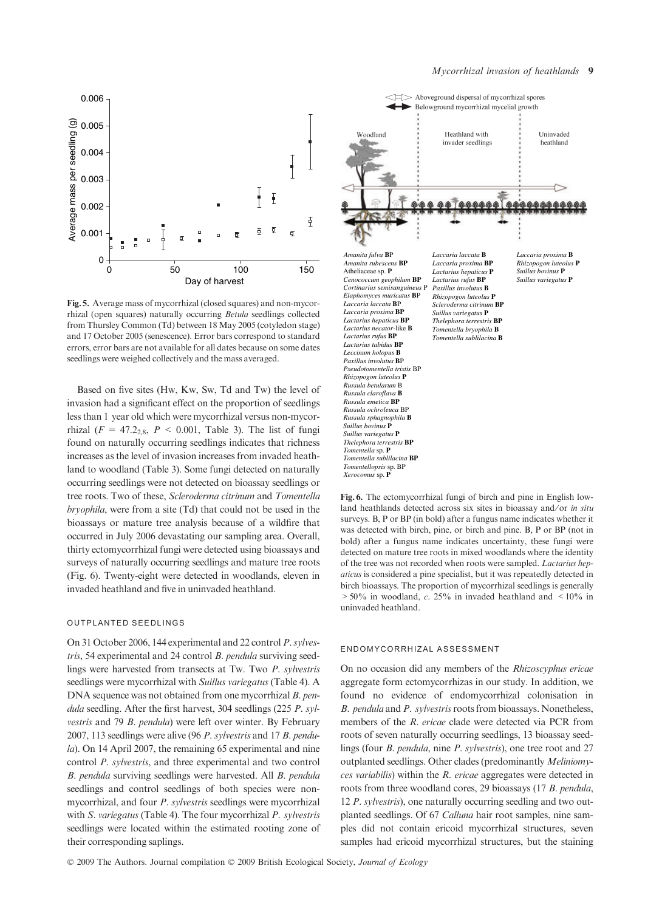

Fig. 5. Average mass of mycorrhizal (closed squares) and non-mycorrhizal (open squares) naturally occurring Betula seedlings collected from Thursley Common (Td) between 18 May 2005 (cotyledon stage) and 17 October 2005 (senescence). Error bars correspond to standard errors, error bars are not available for all dates because on some dates seedlings were weighed collectively and the mass averaged.

Based on five sites (Hw, Kw, Sw, Td and Tw) the level of invasion had a significant effect on the proportion of seedlings less than 1 year old which were mycorrhizal versus non-mycorrhizal ( $F = 47.2_{2.8}$ ,  $P < 0.001$ , Table 3). The list of fungi found on naturally occurring seedlings indicates that richness increases as the level of invasion increases from invaded heathland to woodland (Table 3). Some fungi detected on naturally occurring seedlings were not detected on bioassay seedlings or tree roots. Two of these, Scleroderma citrinum and Tomentella bryophila, were from a site (Td) that could not be used in the bioassays or mature tree analysis because of a wildfire that occurred in July 2006 devastating our sampling area. Overall, thirty ectomycorrhizal fungi were detected using bioassays and surveys of naturally occurring seedlings and mature tree roots (Fig. 6). Twenty-eight were detected in woodlands, eleven in invaded heathland and five in uninvaded heathland.

#### OUTPLANTED SEEDLINGS

On 31 October 2006, 144 experimental and 22 control P. sylvestris, 54 experimental and 24 control B. pendula surviving seedlings were harvested from transects at Tw. Two P. sylvestris seedlings were mycorrhizal with Suillus variegatus (Table 4). A DNA sequence was not obtained from one mycorrhizal B. pendula seedling. After the first harvest, 304 seedlings (225 P. sylvestris and 79 B. pendula) were left over winter. By February 2007, 113 seedlings were alive (96 P. sylvestris and 17 B. pendula). On 14 April 2007, the remaining 65 experimental and nine control P. sylvestris, and three experimental and two control B. pendula surviving seedlings were harvested. All B. pendula seedlings and control seedlings of both species were nonmycorrhizal, and four P. sylvestris seedlings were mycorrhizal with S. variegatus (Table 4). The four mycorrhizal P. sylvestris seedlings were located within the estimated rooting zone of their corresponding saplings.





Fig. 6. The ectomycorrhizal fungi of birch and pine in English lowland heathlands detected across six sites in bioassay and/or in situ surveys. B, P or BP (in bold) after a fungus name indicates whether it was detected with birch, pine, or birch and pine. B, P or BP (not in bold) after a fungus name indicates uncertainty, these fungi were detected on mature tree roots in mixed woodlands where the identity of the tree was not recorded when roots were sampled. Lactarius hepaticus is considered a pine specialist, but it was repeatedly detected in birch bioassays. The proportion of mycorrhizal seedlings is generally  $>50\%$  in woodland, c. 25% in invaded heathland and  $\leq 10\%$  in uninvaded heathland.

#### ENDOMYCORRHIZAL ASSESSMENT

On no occasion did any members of the Rhizoscyphus ericae aggregate form ectomycorrhizas in our study. In addition, we found no evidence of endomycorrhizal colonisation in B. pendula and P. sylvestris roots from bioassays. Nonetheless, members of the R. ericae clade were detected via PCR from roots of seven naturally occurring seedlings, 13 bioassay seedlings (four B. pendula, nine P. sylvestris), one tree root and 27 outplanted seedlings. Other clades (predominantly Meliniomyces variabilis) within the R. ericae aggregates were detected in roots from three woodland cores, 29 bioassays (17 B. pendula, 12 P. sylvestris), one naturally occurring seedling and two outplanted seedlings. Of 67 Calluna hair root samples, nine samples did not contain ericoid mycorrhizal structures, seven samples had ericoid mycorrhizal structures, but the staining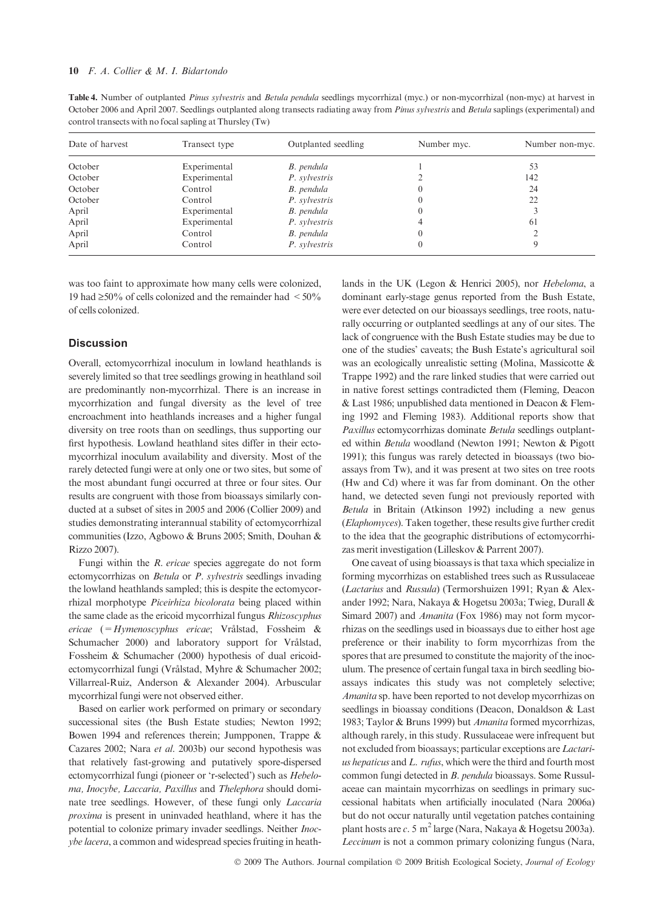Table 4. Number of outplanted Pinus sylvestris and Betula pendula seedlings mycorrhizal (myc.) or non-mycorrhizal (non-myc) at harvest in October 2006 and April 2007. Seedlings outplanted along transects radiating away from *Pinus sylvestris* and *Betula* saplings (experimental) and control transects with no focal sapling at Thursley (Tw)

| Date of harvest | Transect type | Outplanted seedling | Number myc. | Number non-myc. |
|-----------------|---------------|---------------------|-------------|-----------------|
| October         | Experimental  | B. pendula          |             | 53              |
| October         | Experimental  | P. sylvestris       |             | 142             |
| October         | Control       | B. pendula          |             | 24              |
| October         | Control       | P. sylvestris       |             | 22              |
| April           | Experimental  | B. pendula          |             |                 |
| April           | Experimental  | P. sylvestris       |             | 61              |
| April           | Control       | B. pendula          |             |                 |
| April           | Control       | P. sylvestris       |             |                 |

was too faint to approximate how many cells were colonized, 19 had  $\geq 50\%$  of cells colonized and the remainder had  $\leq 50\%$ of cells colonized.

#### **Discussion**

Overall, ectomycorrhizal inoculum in lowland heathlands is severely limited so that tree seedlings growing in heathland soil are predominantly non-mycorrhizal. There is an increase in mycorrhization and fungal diversity as the level of tree encroachment into heathlands increases and a higher fungal diversity on tree roots than on seedlings, thus supporting our first hypothesis. Lowland heathland sites differ in their ectomycorrhizal inoculum availability and diversity. Most of the rarely detected fungi were at only one or two sites, but some of the most abundant fungi occurred at three or four sites. Our results are congruent with those from bioassays similarly conducted at a subset of sites in 2005 and 2006 (Collier 2009) and studies demonstrating interannual stability of ectomycorrhizal communities (Izzo, Agbowo & Bruns 2005; Smith, Douhan & Rizzo 2007).

Fungi within the R. ericae species aggregate do not form ectomycorrhizas on Betula or P. sylvestris seedlings invading the lowland heathlands sampled; this is despite the ectomycorrhizal morphotype Piceirhiza bicolorata being placed within the same clade as the ericoid mycorrhizal fungus Rhizoscyphus ericae (= Hymenoscyphus ericae; Vrålstad, Fossheim & Schumacher 2000) and laboratory support for Vrålstad, Fossheim & Schumacher (2000) hypothesis of dual ericoidectomycorrhizal fungi (Vrålstad, Myhre & Schumacher 2002; Villarreal-Ruiz, Anderson & Alexander 2004). Arbuscular mycorrhizal fungi were not observed either.

Based on earlier work performed on primary or secondary successional sites (the Bush Estate studies; Newton 1992; Bowen 1994 and references therein; Jumpponen, Trappe & Cazares 2002; Nara et al. 2003b) our second hypothesis was that relatively fast-growing and putatively spore-dispersed ectomycorrhizal fungi (pioneer or 'r-selected') such as Hebeloma, Inocybe, Laccaria, Paxillus and Thelephora should dominate tree seedlings. However, of these fungi only Laccaria proxima is present in uninvaded heathland, where it has the potential to colonize primary invader seedlings. Neither Inocybe lacera, a common and widespread species fruiting in heathlands in the UK (Legon & Henrici 2005), nor Hebeloma, a dominant early-stage genus reported from the Bush Estate, were ever detected on our bioassays seedlings, tree roots, naturally occurring or outplanted seedlings at any of our sites. The lack of congruence with the Bush Estate studies may be due to one of the studies' caveats; the Bush Estate's agricultural soil was an ecologically unrealistic setting (Molina, Massicotte & Trappe 1992) and the rare linked studies that were carried out in native forest settings contradicted them (Fleming, Deacon & Last 1986; unpublished data mentioned in Deacon & Fleming 1992 and Fleming 1983). Additional reports show that Paxillus ectomycorrhizas dominate Betula seedlings outplanted within Betula woodland (Newton 1991; Newton & Pigott 1991); this fungus was rarely detected in bioassays (two bioassays from Tw), and it was present at two sites on tree roots (Hw and Cd) where it was far from dominant. On the other hand, we detected seven fungi not previously reported with Betula in Britain (Atkinson 1992) including a new genus (Elaphomyces). Taken together, these results give further credit to the idea that the geographic distributions of ectomycorrhizas merit investigation (Lilleskov & Parrent 2007).

One caveat of using bioassays is that taxa which specialize in forming mycorrhizas on established trees such as Russulaceae (Lactarius and Russula) (Termorshuizen 1991; Ryan & Alexander 1992; Nara, Nakaya & Hogetsu 2003a; Twieg, Durall & Simard 2007) and Amanita (Fox 1986) may not form mycorrhizas on the seedlings used in bioassays due to either host age preference or their inability to form mycorrhizas from the spores that are presumed to constitute the majority of the inoculum. The presence of certain fungal taxa in birch seedling bioassays indicates this study was not completely selective; Amanita sp. have been reported to not develop mycorrhizas on seedlings in bioassay conditions (Deacon, Donaldson & Last 1983; Taylor & Bruns 1999) but Amanita formed mycorrhizas, although rarely, in this study. Russulaceae were infrequent but not excluded from bioassays; particular exceptions are Lactarius hepaticus and L. rufus, which were the third and fourth most common fungi detected in B. pendula bioassays. Some Russulaceae can maintain mycorrhizas on seedlings in primary successional habitats when artificially inoculated (Nara 2006a) but do not occur naturally until vegetation patches containing plant hosts are c. 5 m<sup>2</sup> large (Nara, Nakaya & Hogetsu 2003a). Leccinum is not a common primary colonizing fungus (Nara,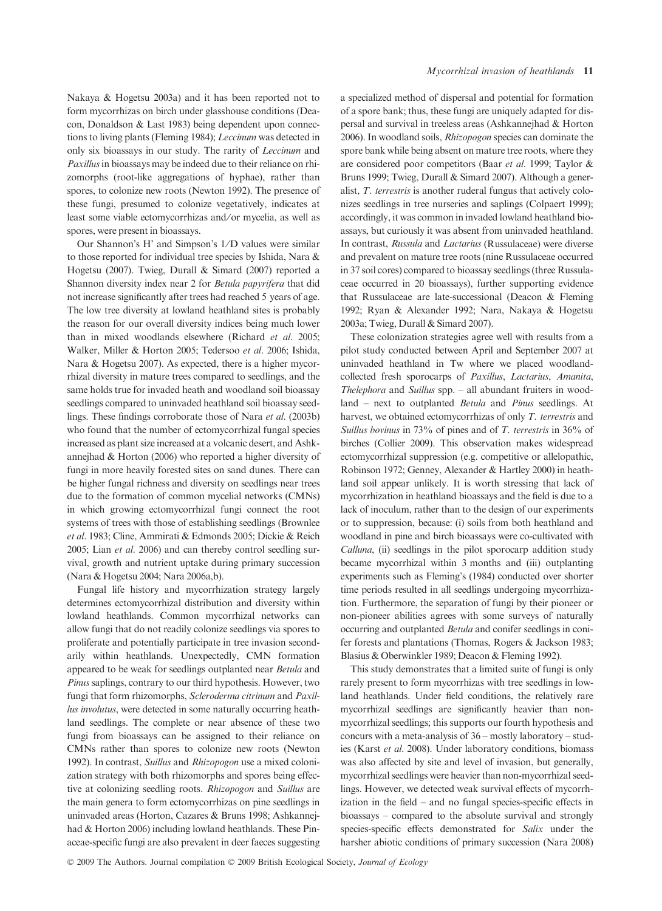Nakaya & Hogetsu 2003a) and it has been reported not to form mycorrhizas on birch under glasshouse conditions (Deacon, Donaldson & Last 1983) being dependent upon connections to living plants (Fleming 1984); Leccinum was detected in only six bioassays in our study. The rarity of Leccinum and Paxillus in bioassays may be indeed due to their reliance on rhizomorphs (root-like aggregations of hyphae), rather than spores, to colonize new roots (Newton 1992). The presence of these fungi, presumed to colonize vegetatively, indicates at least some viable ectomycorrhizas and ⁄ or mycelia, as well as spores, were present in bioassays.

Our Shannon's H' and Simpson's 1/D values were similar to those reported for individual tree species by Ishida, Nara & Hogetsu (2007). Twieg, Durall & Simard (2007) reported a Shannon diversity index near 2 for Betula papyrifera that did not increase significantly after trees had reached 5 years of age. The low tree diversity at lowland heathland sites is probably the reason for our overall diversity indices being much lower than in mixed woodlands elsewhere (Richard et al. 2005; Walker, Miller & Horton 2005; Tedersoo et al. 2006; Ishida, Nara & Hogetsu 2007). As expected, there is a higher mycorrhizal diversity in mature trees compared to seedlings, and the same holds true for invaded heath and woodland soil bioassay seedlings compared to uninvaded heathland soil bioassay seedlings. These findings corroborate those of Nara et al. (2003b) who found that the number of ectomycorrhizal fungal species increased as plant size increased at a volcanic desert, and Ashkannejhad & Horton (2006) who reported a higher diversity of fungi in more heavily forested sites on sand dunes. There can be higher fungal richness and diversity on seedlings near trees due to the formation of common mycelial networks (CMNs) in which growing ectomycorrhizal fungi connect the root systems of trees with those of establishing seedlings (Brownlee et al. 1983; Cline, Ammirati & Edmonds 2005; Dickie & Reich 2005; Lian et al. 2006) and can thereby control seedling survival, growth and nutrient uptake during primary succession (Nara & Hogetsu 2004; Nara 2006a,b).

Fungal life history and mycorrhization strategy largely determines ectomycorrhizal distribution and diversity within lowland heathlands. Common mycorrhizal networks can allow fungi that do not readily colonize seedlings via spores to proliferate and potentially participate in tree invasion secondarily within heathlands. Unexpectedly, CMN formation appeared to be weak for seedlings outplanted near Betula and Pinus saplings, contrary to our third hypothesis. However, two fungi that form rhizomorphs, Scleroderma citrinum and Paxillus involutus, were detected in some naturally occurring heathland seedlings. The complete or near absence of these two fungi from bioassays can be assigned to their reliance on CMNs rather than spores to colonize new roots (Newton 1992). In contrast, Suillus and Rhizopogon use a mixed colonization strategy with both rhizomorphs and spores being effective at colonizing seedling roots. Rhizopogon and Suillus are the main genera to form ectomycorrhizas on pine seedlings in uninvaded areas (Horton, Cazares & Bruns 1998; Ashkannejhad & Horton 2006) including lowland heathlands. These Pinaceae-specific fungi are also prevalent in deer faeces suggesting

a specialized method of dispersal and potential for formation of a spore bank; thus, these fungi are uniquely adapted for dispersal and survival in treeless areas (Ashkannejhad & Horton 2006). In woodland soils, Rhizopogon species can dominate the spore bank while being absent on mature tree roots, where they are considered poor competitors (Baar et al. 1999; Taylor & Bruns 1999; Twieg, Durall & Simard 2007). Although a generalist, T. terrestris is another ruderal fungus that actively colonizes seedlings in tree nurseries and saplings (Colpaert 1999); accordingly, it was common in invaded lowland heathland bioassays, but curiously it was absent from uninvaded heathland. In contrast, Russula and Lactarius (Russulaceae) were diverse and prevalent on mature tree roots (nine Russulaceae occurred in 37 soil cores) compared to bioassay seedlings (three Russulaceae occurred in 20 bioassays), further supporting evidence that Russulaceae are late-successional (Deacon & Fleming 1992; Ryan & Alexander 1992; Nara, Nakaya & Hogetsu 2003a; Twieg, Durall & Simard 2007).

These colonization strategies agree well with results from a pilot study conducted between April and September 2007 at uninvaded heathland in Tw where we placed woodlandcollected fresh sporocarps of Paxillus, Lactarius, Amanita, Thelephora and Suillus spp. – all abundant fruiters in woodland – next to outplanted *Betula* and *Pinus* seedlings. At harvest, we obtained ectomycorrhizas of only T. terrestris and Suillus bovinus in 73% of pines and of T. terrestris in 36% of birches (Collier 2009). This observation makes widespread ectomycorrhizal suppression (e.g. competitive or allelopathic, Robinson 1972; Genney, Alexander & Hartley 2000) in heathland soil appear unlikely. It is worth stressing that lack of mycorrhization in heathland bioassays and the field is due to a lack of inoculum, rather than to the design of our experiments or to suppression, because: (i) soils from both heathland and woodland in pine and birch bioassays were co-cultivated with Calluna, (ii) seedlings in the pilot sporocarp addition study became mycorrhizal within 3 months and (iii) outplanting experiments such as Fleming's (1984) conducted over shorter time periods resulted in all seedlings undergoing mycorrhization. Furthermore, the separation of fungi by their pioneer or non-pioneer abilities agrees with some surveys of naturally occurring and outplanted Betula and conifer seedlings in conifer forests and plantations (Thomas, Rogers & Jackson 1983; Blasius & Oberwinkler 1989; Deacon & Fleming 1992).

This study demonstrates that a limited suite of fungi is only rarely present to form mycorrhizas with tree seedlings in lowland heathlands. Under field conditions, the relatively rare mycorrhizal seedlings are significantly heavier than nonmycorrhizal seedlings; this supports our fourth hypothesis and concurs with a meta-analysis of 36 – mostly laboratory – studies (Karst et al. 2008). Under laboratory conditions, biomass was also affected by site and level of invasion, but generally, mycorrhizal seedlings were heavier than non-mycorrhizal seedlings. However, we detected weak survival effects of mycorrhization in the field – and no fungal species-specific effects in bioassays – compared to the absolute survival and strongly species-specific effects demonstrated for Salix under the harsher abiotic conditions of primary succession (Nara 2008)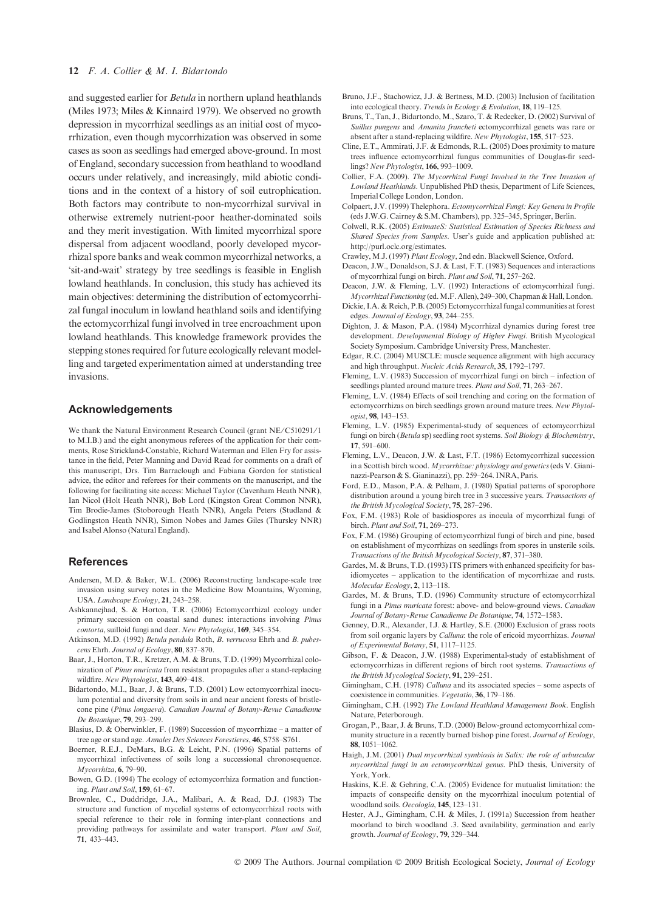and suggested earlier for Betula in northern upland heathlands (Miles 1973; Miles & Kinnaird 1979). We observed no growth depression in mycorrhizal seedlings as an initial cost of mycorrhization, even though mycorrhization was observed in some cases as soon as seedlings had emerged above-ground. In most of England, secondary succession from heathland to woodland occurs under relatively, and increasingly, mild abiotic conditions and in the context of a history of soil eutrophication. Both factors may contribute to non-mycorrhizal survival in otherwise extremely nutrient-poor heather-dominated soils and they merit investigation. With limited mycorrhizal spore dispersal from adjacent woodland, poorly developed mycorrhizal spore banks and weak common mycorrhizal networks, a 'sit-and-wait' strategy by tree seedlings is feasible in English lowland heathlands. In conclusion, this study has achieved its main objectives: determining the distribution of ectomycorrhizal fungal inoculum in lowland heathland soils and identifying the ectomycorrhizal fungi involved in tree encroachment upon lowland heathlands. This knowledge framework provides the stepping stones required for future ecologically relevant modelling and targeted experimentation aimed at understanding tree invasions.

#### Acknowledgements

We thank the Natural Environment Research Council (grant NE/C510291/1) to M.I.B.) and the eight anonymous referees of the application for their comments, Rose Strickland-Constable, Richard Waterman and Ellen Fry for assistance in the field, Peter Manning and David Read for comments on a draft of this manuscript, Drs. Tim Barraclough and Fabiana Gordon for statistical advice, the editor and referees for their comments on the manuscript, and the following for facilitating site access: Michael Taylor (Cavenham Heath NNR), Ian Nicol (Holt Heath NNR), Bob Lord (Kingston Great Common NNR), Tim Brodie-James (Stoborough Heath NNR), Angela Peters (Studland & Godlingston Heath NNR), Simon Nobes and James Giles (Thursley NNR) and Isabel Alonso (Natural England).

#### **References**

- Andersen, M.D. & Baker, W.L. (2006) Reconstructing landscape-scale tree invasion using survey notes in the Medicine Bow Mountains, Wyoming, USA. Landscape Ecology, 21, 243–258.
- Ashkannejhad, S. & Horton, T.R. (2006) Ectomycorrhizal ecology under primary succession on coastal sand dunes: interactions involving Pinus contorta, suilloid fungi and deer. New Phytologist, 169, 345–354.
- Atkinson, M.D. (1992) Betula pendula Roth, B. verrucosa Ehrh and B. pubescens Ehrh. Journal of Ecology, 80, 837–870.
- Baar, J., Horton, T.R., Kretzer, A.M. & Bruns, T.D. (1999) Mycorrhizal colonization of Pinus muricata from resistant propagules after a stand-replacing wildfire. New Phytologist, 143, 409–418.
- Bidartondo, M.I., Baar, J. & Bruns, T.D. (2001) Low ectomycorrhizal inoculum potential and diversity from soils in and near ancient forests of bristlecone pine (Pinus longaeva). Canadian Journal of Botany-Revue Canadienne De Botanique, 79, 293–299.
- Blasius, D. & Oberwinkler, F. (1989) Succession of mycorrhizae a matter of tree age or stand age. Annales Des Sciences Forestieres, 46, S758–S761.
- Boerner, R.E.J., DeMars, B.G. & Leicht, P.N. (1996) Spatial patterns of mycorrhizal infectiveness of soils long a successional chronosequence. Mycorrhiza, 6, 79–90.
- Bowen, G.D. (1994) The ecology of ectomycorrhiza formation and functioning. Plant and Soil, 159, 61–67.
- Brownlee, C., Duddridge, J.A., Malibari, A. & Read, D.J. (1983) The structure and function of mycelial systems of ectomycorrhizal roots with special reference to their role in forming inter-plant connections and providing pathways for assimilate and water transport. Plant and Soil, 71, 433–443.
- Bruno, J.F., Stachowicz, J.J. & Bertness, M.D. (2003) Inclusion of facilitation into ecological theory. Trends in Ecology & Evolution, 18, 119–125.
- Bruns, T., Tan, J., Bidartondo, M., Szaro, T. & Redecker, D. (2002) Survival of Suillus pungens and Amanita francheti ectomycorrhizal genets was rare or absent after a stand-replacing wildfire. New Phytologist, 155, 517–523.
- Cline, E.T., Ammirati, J.F. & Edmonds, R.L. (2005) Does proximity to mature trees influence ectomycorrhizal fungus communities of Douglas-fir seedlings? New Phytologist, 166, 993–1009.
- Collier, F.A. (2009). The Mycorrhizal Fungi Involved in the Tree Invasion of Lowland Heathlands. Unpublished PhD thesis, Department of Life Sciences, Imperial College London, London.
- Colpaert, J.V. (1999) Thelephora. Ectomycorrhizal Fungi: Key Genera in Profile (eds J.W.G. Cairney & S.M. Chambers), pp. 325–345, Springer, Berlin.
- Colwell, R.K. (2005) EstimateS: Statistical Estimation of Species Richness and Shared Species from Samples. User's guide and application published at: http://purl.oclc.org/estimates.
- Crawley, M.J. (1997) Plant Ecology, 2nd edn. Blackwell Science, Oxford.
- Deacon, J.W., Donaldson, S.J. & Last, F.T. (1983) Sequences and interactions of mycorrhizal fungi on birch. Plant and Soil, 71, 257–262.
- Deacon, J.W. & Fleming, L.V. (1992) Interactions of ectomycorrhizal fungi. Mycorrhizal Functioning (ed.M.F. Allen), 249–300, Chapman & Hall, London.
- Dickie, I.A. & Reich, P.B. (2005) Ectomycorrhizal fungal communities at forest edges. Journal of Ecology, 93, 244–255.
- Dighton, J. & Mason, P.A. (1984) Mycorrhizal dynamics during forest tree development. Developmental Biology of Higher Fungi. British Mycological Society Symposium. Cambridge University Press, Manchester.
- Edgar, R.C. (2004) MUSCLE: muscle sequence alignment with high accuracy and high throughput. Nucleic Acids Research, 35, 1792–1797.
- Fleming, L.V. (1983) Succession of mycorrhizal fungi on birch infection of seedlings planted around mature trees. Plant and Soil, 71, 263-267.
- Fleming, L.V. (1984) Effects of soil trenching and coring on the formation of ectomycorrhizas on birch seedlings grown around mature trees. New Phytologist, 98, 143–153.
- Fleming, L.V. (1985) Experimental-study of sequences of ectomycorrhizal fungi on birch (Betula sp) seedling root systems. Soil Biology & Biochemistry, 17, 591–600.
- Fleming, L.V., Deacon, J.W. & Last, F.T. (1986) Ectomycorrhizal succession in a Scottish birch wood. Mycorrhizae: physiology and genetics(eds V. Gianinazzi-Pearson & S. Gianinazzi), pp. 259–264. INRA, Paris.
- Ford, E.D., Mason, P.A. & Pelham, J. (1980) Spatial patterns of sporophore distribution around a young birch tree in 3 successive years. Transactions of the British Mycological Society, 75, 287–296.
- Fox, F.M. (1983) Role of basidiospores as inocula of mycorrhizal fungi of birch. Plant and Soil, 71, 269–273.
- Fox, F.M. (1986) Grouping of ectomycorrhizal fungi of birch and pine, based on establishment of mycorrhizas on seedlings from spores in unsterile soils. Transactions of the British Mycological Society, 87, 371–380.
- Gardes, M. & Bruns, T.D. (1993) ITS primers with enhanced specificity for basidiomycetes – application to the identification of mycorrhizae and rusts. Molecular Ecology, 2, 113–118.
- Gardes, M. & Bruns, T.D. (1996) Community structure of ectomycorrhizal fungi in a Pinus muricata forest: above- and below-ground views. Canadian Journal of Botany-Revue Canadienne De Botanique, 74, 1572–1583.
- Genney, D.R., Alexander, I.J. & Hartley, S.E. (2000) Exclusion of grass roots from soil organic layers by Calluna: the role of ericoid mycorrhizas. Journal of Experimental Botany, 51, 1117–1125.
- Gibson, F. & Deacon, J.W. (1988) Experimental-study of establishment of ectomycorrhizas in different regions of birch root systems. Transactions of the British Mycological Society, 91, 239–251.
- Gimingham, C.H. (1978) Calluna and its associated species some aspects of coexistence in communities. Vegetatio, 36, 179–186.
- Gimingham, C.H. (1992) The Lowland Heathland Management Book. English Nature, Peterborough.
- Grogan, P., Baar, J. & Bruns, T.D. (2000) Below-ground ectomycorrhizal community structure in a recently burned bishop pine forest. Journal of Ecology, 88, 1051–1062.
- Haigh, J.M. (2001) Dual mycorrhizal symbiosis in Salix: the role of arbuscular mycorrhizal fungi in an ectomycorrhizal genus. PhD thesis, University of York, York.
- Haskins, K.E. & Gehring, C.A. (2005) Evidence for mutualist limitation: the impacts of conspecific density on the mycorrhizal inoculum potential of woodland soils. Oecologia, 145, 123–131.
- Hester, A.J., Gimingham, C.H. & Miles, J. (1991a) Succession from heather moorland to birch woodland .3. Seed availability, germination and early growth. Journal of Ecology, 79, 329–344.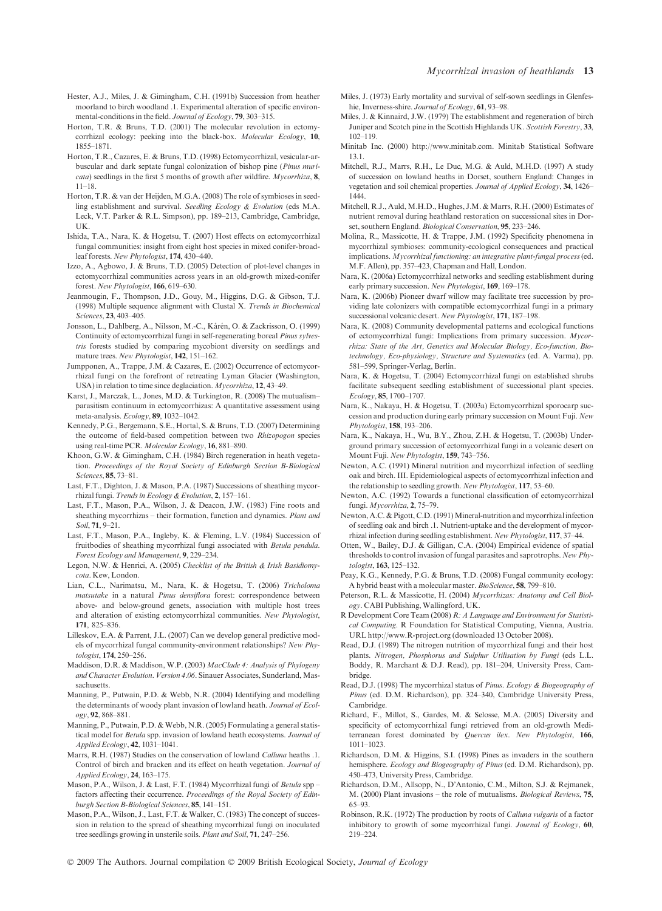- Hester, A.J., Miles, J. & Gimingham, C.H. (1991b) Succession from heather moorland to birch woodland .1. Experimental alteration of specific environmental-conditions in the field. Journal of Ecology, 79, 303–315.
- Horton, T.R. & Bruns, T.D. (2001) The molecular revolution in ectomycorrhizal ecology: peeking into the black-box. Molecular Ecology, 10, 1855–1871.
- Horton, T.R., Cazares, E. & Bruns, T.D. (1998) Ectomycorrhizal, vesicular-arbuscular and dark septate fungal colonization of bishop pine (Pinus muri- $\epsilon$  cata) seedlings in the first 5 months of growth after wildfire. *Mycorrhiza*, 8, 11–18.
- Horton, T.R. & van der Heijden, M.G.A. (2008) The role of symbioses in seedling establishment and survival. Seedling Ecology & Evolution (eds M.A. Leck, V.T. Parker & R.L. Simpson), pp. 189–213, Cambridge, Cambridge, UK.
- Ishida, T.A., Nara, K. & Hogetsu, T. (2007) Host effects on ectomycorrhizal fungal communities: insight from eight host species in mixed conifer-broadleaf forests. New Phytologist, 174, 430–440.
- Izzo, A., Agbowo, J. & Bruns, T.D. (2005) Detection of plot-level changes in ectomycorrhizal communities across years in an old-growth mixed-conifer forest. New Phytologist, 166, 619–630.
- Jeanmougin, F., Thompson, J.D., Gouy, M., Higgins, D.G. & Gibson, T.J. (1998) Multiple sequence alignment with Clustal X. Trends in Biochemical Sciences, 23, 403–405.
- Jonsson, L., Dahlberg, A., Nilsson, M.-C., Kårén, O. & Zackrisson, O. (1999). Continuity of ectomycorrhizal fungi in self-regenerating boreal Pinus sylvestris forests studied by comparing mycobiont diversity on seedlings and mature trees. New Phytologist, 142, 151–162.
- Jumpponen, A., Trappe, J.M. & Cazares, E. (2002) Occurrence of ectomycorrhizal fungi on the forefront of retreating Lyman Glacier (Washington, USA) in relation to time since deglaciation. Mycorrhiza, 12, 43–49.
- Karst, J., Marczak, L., Jones, M.D. & Turkington, R. (2008) The mutualism– parasitism continuum in ectomycorrhizas: A quantitative assessment using meta-analysis. Ecology, 89, 1032–1042.
- Kennedy, P.G., Bergemann, S.E., Hortal, S. & Bruns, T.D. (2007) Determining the outcome of field-based competition between two Rhizopogon species using real-time PCR. Molecular Ecology, 16, 881–890.
- Khoon, G.W. & Gimingham, C.H. (1984) Birch regeneration in heath vegetation. Proceedings of the Royal Society of Edinburgh Section B-Biological Sciences, 85, 73–81.
- Last, F.T., Dighton, J. & Mason, P.A. (1987) Successions of sheathing mycorrhizal fungi. Trends in Ecology & Evolution, 2, 157–161.
- Last, F.T., Mason, P.A., Wilson, J. & Deacon, J.W. (1983) Fine roots and sheathing mycorrhizas – their formation, function and dynamics. Plant and Soil, 71, 9–21.
- Last, F.T., Mason, P.A., Ingleby, K. & Fleming, L.V. (1984) Succession of fruitbodies of sheathing mycorrhizal fungi associated with Betula pendula. Forest Ecology and Management, 9, 229–234.
- Legon, N.W. & Henrici, A. (2005) Checklist of the British & Irish Basidiomycota. Kew, London.
- Lian, C.L., Narimatsu, M., Nara, K. & Hogetsu, T. (2006) Tricholoma matsutake in a natural Pinus densiflora forest: correspondence between above- and below-ground genets, association with multiple host trees and alteration of existing ectomycorrhizal communities. New Phytologist, 171, 825–836.
- Lilleskov, E.A. & Parrent, J.L. (2007) Can we develop general predictive models of mycorrhizal fungal community-environment relationships? New Phytologist, 174, 250–256.
- Maddison, D.R. & Maddison, W.P. (2003) MacClade 4: Analysis of Phylogeny and Character Evolution. Version 4.06. Sinauer Associates, Sunderland, Massachusetts.
- Manning, P., Putwain, P.D. & Webb, N.R. (2004) Identifying and modelling the determinants of woody plant invasion of lowland heath. Journal of Ecology, 92, 868–881.
- Manning, P., Putwain, P.D. & Webb, N.R. (2005) Formulating a general statistical model for Betula spp. invasion of lowland heath ecosystems. Journal of Applied Ecology, 42, 1031–1041.
- Marrs, R.H. (1987) Studies on the conservation of lowland Calluna heaths .1. Control of birch and bracken and its effect on heath vegetation. Journal of Applied Ecology, 24, 163–175.
- Mason, P.A., Wilson, J. & Last, F.T. (1984) Mycorrhizal fungi of Betula spp factors affecting their cccurrence. Proceedings of the Royal Society of Edinburgh Section B-Biological Sciences, 85, 141–151.
- Mason, P.A., Wilson, J., Last, F.T. & Walker, C. (1983) The concept of succession in relation to the spread of sheathing mycorrhizal fungi on inoculated tree seedlings growing in unsterile soils. Plant and Soil, 71, 247–256.
- Miles, J. (1973) Early mortality and survival of self-sown seedlings in Glenfeshie, Inverness-shire. Journal of Ecology, 61, 93–98.
- Miles, J. & Kinnaird, J.W. (1979) The establishment and regeneration of birch Juniper and Scotch pine in the Scottish Highlands UK. Scottish Forestry, 33, 102–119.
- Minitab Inc. (2000) http://www.minitab.com. Minitab Statistical Software 13.1.
- Mitchell, R.J., Marrs, R.H., Le Duc, M.G. & Auld, M.H.D. (1997) A study of succession on lowland heaths in Dorset, southern England: Changes in vegetation and soil chemical properties. Journal of Applied Ecology, 34, 1426– 1444.
- Mitchell, R.J., Auld, M.H.D., Hughes, J.M. & Marrs, R.H. (2000) Estimates of nutrient removal during heathland restoration on successional sites in Dorset, southern England. Biological Conservation, 95, 233-246.
- Molina, R., Massicotte, H. & Trappe, J.M. (1992) Specificity phenomena in mycorrhizal symbioses: community-ecological consequences and practical implications. Mycorrhizal functioning: an integrative plant-fungal process (ed. M.F. Allen), pp. 357–423, Chapman and Hall, London.
- Nara, K. (2006a) Ectomycorrhizal networks and seedling establishment during early primary succession. New Phytologist, 169, 169–178.
- Nara, K. (2006b) Pioneer dwarf willow may facilitate tree succession by providing late colonizers with compatible ectomycorrhizal fungi in a primary successional volcanic desert. New Phytologist, 171, 187–198.
- Nara, K. (2008) Community developmental patterns and ecological functions of ectomycorrhizal fungi: Implications from primary succession. Mycorrhiza: State of the Art, Genetics and Molecular Biology, Eco-function, Biotechnology, Eco-physiology, Structure and Systematics (ed. A. Varma), pp. 581–599, Springer-Verlag, Berlin.
- Nara, K. & Hogetsu, T. (2004) Ectomycorrhizal fungi on established shrubs facilitate subsequent seedling establishment of successional plant species. Ecology, 85, 1700–1707.
- Nara, K., Nakaya, H. & Hogetsu, T. (2003a) Ectomycorrhizal sporocarp succession and production during early primary succession on Mount Fuji. New Phytologist, 158, 193–206.
- Nara, K., Nakaya, H., Wu, B.Y., Zhou, Z.H. & Hogetsu, T. (2003b) Underground primary succession of ectomycorrhizal fungi in a volcanic desert on Mount Fuji. New Phytologist, 159, 743-756.
- Newton, A.C. (1991) Mineral nutrition and mycorrhizal infection of seedling oak and birch. III. Epidemiological aspects of ectomycorrhizal infection and the relationship to seedling growth. New Phytologist, 117, 53–60.
- Newton, A.C. (1992) Towards a functional classification of ectomycorrhizal fungi. Mycorrhiza, 2, 75–79.
- Newton, A.C. & Pigott, C.D. (1991) Mineral-nutrition and mycorrhizal infection of seedling oak and birch .1. Nutrient-uptake and the development of mycorrhizal infection during seedling establishment. New Phytologist, 117, 37–44.
- Otten, W., Bailey, D.J. & Gilligan, C.A. (2004) Empirical evidence of spatial thresholds to control invasion of fungal parasites and saprotrophs. New Phytologist, 163, 125–132.
- Peay, K.G., Kennedy, P.G. & Bruns, T.D. (2008) Fungal community ecology: A hybrid beast with a molecular master. BioScience, 58, 799-810.
- Peterson, R.L. & Massicotte, H. (2004) Mycorrhizas: Anatomy and Cell Biology. CABI Publishing, Wallingford, UK.
- R Development Core Team (2008) R: A Language and Environment for Statistical Computing. R Foundation for Statistical Computing, Vienna, Austria. URL http://www.R-project.org (downloaded 13 October 2008).
- Read, D.J. (1989) The nitrogen nutrition of mycorrhizal fungi and their host plants. Nitrogen, Phosphorus and Sulphur Utilisation by Fungi (eds L.L. Boddy, R. Marchant & D.J. Read), pp. 181–204, University Press, Cambridge.
- Read, D.J. (1998) The mycorrhizal status of Pinus. Ecology & Biogeography of Pinus (ed. D.M. Richardson), pp. 324–340, Cambridge University Press, Cambridge.
- Richard, F., Millot, S., Gardes, M. & Selosse, M.A. (2005) Diversity and specificity of ectomycorrhizal fungi retrieved from an old-growth Mediterranean forest dominated by Quercus ilex. New Phytologist, 166, 1011–1023.
- Richardson, D.M. & Higgins, S.I. (1998) Pines as invaders in the southern hemisphere. Ecology and Biogeography of Pinus (ed. D.M. Richardson), pp. 450–473, University Press, Cambridge.
- Richardson, D.M., Allsopp, N., D'Antonio, C.M., Milton, S.J. & Rejmanek, M. (2000) Plant invasions – the role of mutualisms. Biological Reviews, 75, 65–93.
- Robinson, R.K. (1972) The production by roots of Calluna vulgaris of a factor inhibitory to growth of some mycorrhizal fungi. Journal of Ecology, 60, 219–224.